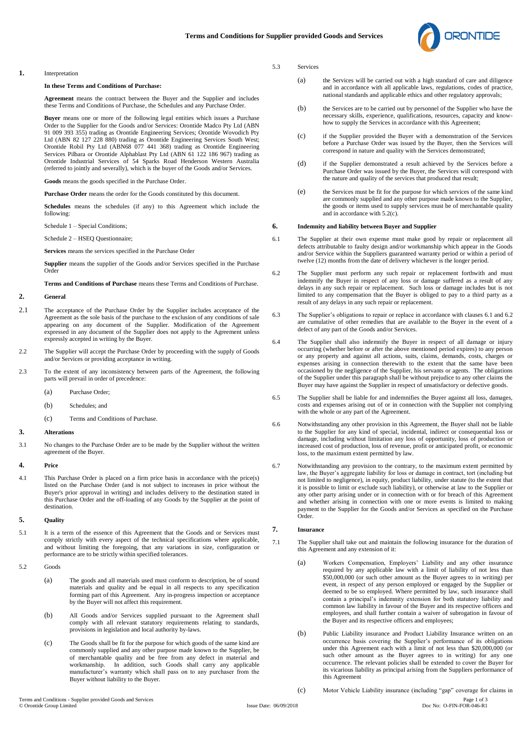

#### **1.** Interpretation

### **In these Terms and Conditions of Purchase:**

**Agreement** means the contract between the Buyer and the Supplier and includes these Terms and Conditions of Purchase, the Schedules and any Purchase Order.

**Buyer** means one or more of the following legal entities which issues a Purchase Order to the Supplier for the Goods and/or Services: Orontide Madco Pty Ltd (ABN 91 009 393 355) trading as Orontide Engineering Services; Orontide Wovodich Pty Ltd (ABN 82 127 228 880) trading as Orontide Engineering Services South West; Orontide Robil Pty Ltd (ABN68 077 441 368) trading as Orontide Engineering Services Pilbara or Orontide Alphablast Pty Ltd (ABN 61 122 186 967) trading as Orontide Industrial Services of 54 Sparks Road Henderson Western Australia (referred to jointly and severally), which is the buyer of the Goods and/or Services.

**Goods** means the goods specified in the Purchase Order.

**Purchase Order** means the order for the Goods constituted by this document.

**Schedules** means the schedules (if any) to this Agreement which include the following:

Schedule 1 – Special Conditions;

Schedule 2 – HSEQ Questionnaire;

**Services** means the services specified in the Purchase Order

**Supplier** means the supplier of the Goods and/or Services specified in the Purchase Order

**Terms and Conditions of Purchase** means these Terms and Conditions of Purchase.

#### **2. General**

- 2.1 The acceptance of the Purchase Order by the Supplier includes acceptance of the Agreement as the sole basis of the purchase to the exclusion of any conditions of sale appearing on any document of the Supplier. Modification of the Agreement expressed in any document of the Supplier does not apply to the Agreement unless expressly accepted in writing by the Buyer.
- 2.2 The Supplier will accept the Purchase Order by proceeding with the supply of Goods and/or Services or providing acceptance in writing.
- 2.3 To the extent of any inconsistency between parts of the Agreement, the following parts will prevail in order of precedence:
	- (a) Purchase Order;
	- (b) Schedules; and
	- (c) Terms and Conditions of Purchase.

#### **3. Alterations**

3.1 No changes to the Purchase Order are to be made by the Supplier without the written agreement of the Buyer.

# **4. Price**

4.1 This Purchase Order is placed on a firm price basis in accordance with the price(s) listed on the Purchase Order (and is not subject to increases in price without the Buyer's prior approval in writing) and includes delivery to the destination stated in this Purchase Order and the off-loading of any Goods by the Supplier at the point of destination.

### **5. Quality**

- 5.1 It is a term of the essence of this Agreement that the Goods and or Services must comply strictly with every aspect of the technical specifications where applicable, and without limiting the foregoing, that any variations in size, configuration or performance are to be strictly within specified tolerances.
- 5.2 Goods
	- (a) The goods and all materials used must conform to description, be of sound materials and quality and be equal in all respects to any specification forming part of this Agreement. Any in-progress inspection or acceptance by the Buyer will not affect this requirement.
	- (b) All Goods and/or Services supplied pursuant to the Agreement shall comply with all relevant statutory requirements relating to standards, provisions in legislation and local authority by-laws.
	- (c) The Goods shall be fit for the purpose for which goods of the same kind are commonly supplied and any other purpose made known to the Supplier, be of merchantable quality and be free from any defect in material and workmanship. In addition, such Goods shall carry any applicable manufacturer's warranty which shall pass on to any purchaser from the Buyer without liability to the Buyer.

#### 5.3 Services

- (a) the Services will be carried out with a high standard of care and diligence and in accordance with all applicable laws, regulations, codes of practice, national standards and applicable ethics and other regulatory approvals;
- (b) the Services are to be carried out by personnel of the Supplier who have the necessary skills, experience, qualifications, resources, capacity and knowhow to supply the Services in accordance with this Agreement;
- (c) if the Supplier provided the Buyer with a demonstration of the Services before a Purchase Order was issued by the Buyer, then the Services will correspond in nature and quality with the Services demonstrated;
- (d) if the Supplier demonstrated a result achieved by the Services before a Purchase Order was issued by the Buyer, the Services will correspond with the nature and quality of the services that produced that result;
- (e) the Services must be fit for the purpose for which services of the same kind are commonly supplied and any other purpose made known to the Supplier, the goods or items used to supply services must be of merchantable quality and in accordance with 5.2(c).

#### **6. Indemnity and liability between Buyer and Supplier**

- 6.1 The Supplier at their own expense must make good by repair or replacement all defects attributable to faulty design and/or workmanship which appear in the Goods and/or Service within the Suppliers guaranteed warranty period or within a period of twelve (12) months from the date of delivery whichever is the longer period.
- 6.2 The Supplier must perform any such repair or replacement forthwith and must indemnify the Buyer in respect of any loss or damage suffered as a result of any delays in any such repair or replacement. Such loss or damage includes but is not limited to any compensation that the Buyer is obliged to pay to a third party as a result of any delays in any such repair or replacement.
- 6.3 The Supplier's obligations to repair or replace in accordance with clauses 6.1 and 6.2 are cumulative of other remedies that are available to the Buyer in the event of a defect of any part of the Goods and/or Services.
- 6.4 The Supplier shall also indemnify the Buyer in respect of all damage or injury occurring (whether before or after the above mentioned period expires) to any person or any property and against all actions, suits, claims, demands, costs, charges or expenses arising in connection therewith to the extent that the same have been occasioned by the negligence of the Supplier, his servants or agents. The obligations of the Supplier under this paragraph shall be without prejudice to any other claims the Buyer may have against the Supplier in respect of unsatisfactory or defective goods.
- 6.5 The Supplier shall be liable for and indemnifies the Buyer against all loss, damages, costs and expenses arising out of or in connection with the Supplier not complying with the whole or any part of the Agreement.
- 6.6 Notwithstanding any other provision in this Agreement, the Buyer shall not be liable to the Supplier for any kind of special, incidental, indirect or consequential loss or damage, including without limitation any loss of opportunity, loss of production or increased cost of production, loss of revenue, profit or anticipated profit, or economic loss, to the maximum extent permitted by law.
- 6.7 Notwithstanding any provision to the contrary, to the maximum extent permitted by law, the Buyer's aggregate liability for loss or damage in contract, tort (including but not limited to negligence), in equity, product liability, under statute (to the extent that it is possible to limit or exclude such liability), or otherwise at law to the Supplier or any other party arising under or in connection with or for breach of this Agreement and whether arising in connection with one or more events is limited to making payment to the Supplier for the Goods and/or Services as specified on the Purchase Order.

### **7. Insurance**

- 7.1 The Supplier shall take out and maintain the following insurance for the duration of this Agreement and any extension of it:
	- (a) Workers Compensation, Employers' Liability and any other insurance required by any applicable law with a limit of liability of not less than \$50,000,000 (or such other amount as the Buyer agrees to in writing) per event, in respect of any person employed or engaged by the Supplier or deemed to be so employed. Where permitted by law, such insurance shall contain a principal's indemnity extension for both statutory liability and common law liability in favour of the Buyer and its respective officers and employees, and shall further contain a waiver of subrogation in favour of the Buyer and its respective officers and employees;
	- (b) Public Liability insurance and Product Liability Insurance written on an occurrence basis covering the Supplier's performance of its obligations under this Agreement each with a limit of not less than \$20,000,000 (or such other amount as the Buyer agrees to in writing) for any one occurrence. The relevant policies shall be extended to cover the Buyer for its vicarious liability as principal arising from the Suppliers performance of this Agreement
- Terms and Conditions Supplier provided Goods and Services Page 1 of 3 (c) Motor Vehicle Liability insurance (including "gap" coverage for claims in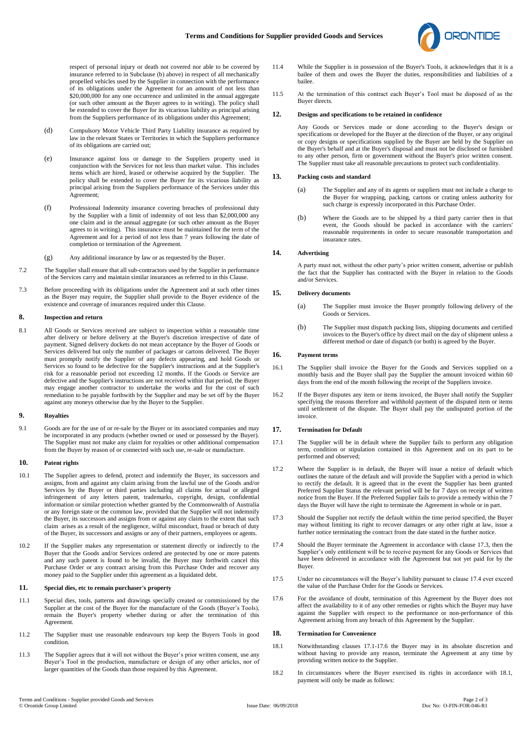

respect of personal injury or death not covered nor able to be covered by insurance referred to in Subclause (b) above) in respect of all mechanically propelled vehicles used by the Supplier in connection with the performance of its obligations under the Agreement for an amount of not less than \$20,000,000 for any one occurrence and unlimited in the annual aggregate (or such other amount as the Buyer agrees to in writing). The policy shall be extended to cover the Buyer for its vicarious liability as principal arising from the Suppliers performance of its obligations under this Agreement;

- (d) Compulsory Motor Vehicle Third Party Liability insurance as required by law in the relevant States or Territories in which the Suppliers performance of its obligations are carried out;
- (e) Insurance against loss or damage to the Suppliers property used in conjunction with the Services for not less than market value. This includes items which are hired, leased or otherwise acquired by the Supplier. The policy shall be extended to cover the Buyer for its vicarious liability as principal arising from the Suppliers performance of the Services under this Agreement;
- (f) Professional Indemnity insurance covering breaches of professional duty by the Supplier with a limit of indemnity of not less than \$2,000,000 any one claim and in the annual aggregate (or such other amount as the Buyer agrees to in writing). This insurance must be maintained for the term of the Agreement and for a period of not less than 7 years following the date of completion or termination of the Agreement.
- (g) Any additional insurance by law or as requested by the Buyer.
- 7.2 The Supplier shall ensure that all sub-contractors used by the Supplier in performance of the Services carry and maintain similar insurances as referred to in this Clause.
- 7.3 Before proceeding with its obligations under the Agreement and at such other times as the Buyer may require, the Supplier shall provide to the Buyer evidence of the existence and coverage of insurances required under this Clause.

## **8. Inspection and return**

8.1 All Goods or Services received are subject to inspection within a reasonable time after delivery or before delivery at the Buyer's discretion irrespective of date of payment. Signed delivery dockets do not mean acceptance by the Buyer of Goods or Services delivered but only the number of packages or cartons delivered. The Buyer must promptly notify the Supplier of any defects appearing, and hold Goods or Services so found to be defective for the Supplier's instructions and at the Supplier's risk for a reasonable period not exceeding 12 months. If the Goods or Service are defective and the Supplier's instructions are not received within that period, the Buyer may engage another contractor to undertake the works and for the cost of such remediation to be payable forthwith by the Supplier and may be set off by the Buyer against any moneys otherwise due by the Buyer to the Supplier.

### **9. Royalties**

9.1 Goods are for the use of or re-sale by the Buyer or its associated companies and may be incorporated in any products (whether owned or used or possessed by the Buyer). The Supplier must not make any claim for royalties or other additional compensation from the Buyer by reason of or connected with such use, re-sale or manufacture.

## **10. Patent rights**

- 10.1 The Supplier agrees to defend, protect and indemnify the Buyer, its successors and assigns, from and against any claim arising from the lawful use of the Goods and/or Services by the Buyer or third parties including all claims for actual or alleged infringement of any letters patent, trademarks, copyright, design, confidential information or similar protection whether granted by the Commonwealth of Australia or any foreign state or the common law, provided that the Supplier will not indemnify the Buyer, its successors and assigns from or against any claim to the extent that such claim arises as a result of the negligence, wilful misconduct, fraud or breach of duty of the Buyer, its successors and assigns or any of their partners, employees or agents.
- 10.2 If the Supplier makes any representation or statement directly or indirectly to the Buyer that the Goods and/or Services ordered are protected by one or more patents and any such patent is found to be invalid, the Buyer may forthwith cancel this Purchase Order or any contract arising from this Purchase Order and recover any money paid to the Supplier under this agreement as a liquidated debt.

## **11. Special dies, etc to remain purchaser's property**

- 11.1 Special dies, tools, patterns and drawings specially created or commissioned by the Supplier at the cost of the Buyer for the manufacture of the Goods (Buyer's Tools), remain the Buyer's property whether during or after the termination of this Agreement.
- 11.2 The Supplier must use reasonable endeavours top keep the Buyers Tools in good **condition**
- 11.3 The Supplier agrees that it will not without the Buyer's prior written consent, use any Buyer's Tool in the production, manufacture or design of any other articles, nor of larger quantities of the Goods than those required by this Agreement.
- 11.4 While the Supplier is in possession of the Buyer's Tools, it acknowledges that it is a bailee of them and owes the Buyer the duties, responsibilities and liabilities of a bailee.
- 11.5 At the termination of this contract each Buyer's Tool must be disposed of as the Buyer directs.

### **12. Designs and specifications to be retained in confidence**

Any Goods or Services made or done according to the Buyer's design or specifications or developed for the Buyer at the direction of the Buyer, or any original or copy designs or specifications supplied by the Buyer are held by the Supplier on the Buyer's behalf and at the Buyer's disposal and must not be disclosed or furnished to any other person, firm or government without the Buyer's prior written consent. The Supplier must take all reasonable precautions to protect such confidentiality.

### **13. Packing costs and standard**

- (a) The Supplier and any of its agents or suppliers must not include a charge to the Buyer for wrapping, packing, cartons or crating unless authority for such charge is expressly incorporated in this Purchase Order.
- (b) Where the Goods are to be shipped by a third party carrier then in that event, the Goods should be packed in accordance with the carriers' reasonable requirements in order to secure reasonable transportation and insurance rates.

#### **14. Advertising**

A party must not, without the other party's prior written consent, advertise or publish the fact that the Supplier has contracted with the Buyer in relation to the Goods and/or Services.

### **15. Delivery documents**

- (a) The Supplier must invoice the Buyer promptly following delivery of the Goods or Services.
- (b) The Supplier must dispatch packing lists, shipping documents and certified invoices to the Buyer's office by direct mail on the day of shipment unless a different method or date of dispatch (or both) is agreed by the Buyer.

#### **16. Payment terms**

- 16.1 The Supplier shall invoice the Buyer for the Goods and Services supplied on a monthly basis and the Buyer shall pay the Supplier the amount invoiced within 60 days from the end of the month following the receipt of the Suppliers invoice.
- 16.2 If the Buyer disputes any item or items invoiced, the Buyer shall notify the Supplier specifying the reasons therefore and withhold payment of the disputed item or items until settlement of the dispute. The Buyer shall pay the undisputed portion of the invoice.

### **17. Termination for Default**

- 17.1 The Supplier will be in default where the Supplier fails to perform any obligation term, condition or stipulation contained in this Agreement and on its part to be performed and observed;
- 17.2 Where the Supplier is in default, the Buyer will issue a notice of default which outlines the nature of the default and will provide the Supplier with a period in which to rectify the default. It is agreed that in the event the Supplier has been granted Preferred Supplier Status the relevant period will be for 7 days on receipt of written notice from the Buyer. If the Preferred Supplier fails to provide a remedy within the 7 days the Buyer will have the right to terminate the Agreement in whole or in part.
- 17.3 Should the Supplier not rectify the default within the time period specified, the Buyer may without limiting its right to recover damages or any other right at law, issue a further notice terminating the contract from the date stated in the further notice.
- 17.4 Should the Buyer terminate the Agreement in accordance with clause 17.3, then the Supplier's only entitlement will be to receive payment for any Goods or Services that have been delivered in accordance with the Agreement but not yet paid for by the Buyer.
- 17.5 Under no circumstances will the Buyer's liability pursuant to clause 17.4 ever exceed the value of the Purchase Order for the Goods or Services.
- 17.6 For the avoidance of doubt, termination of this Agreement by the Buyer does not affect the availability to it of any other remedies or rights which the Buyer may have against the Supplier with respect to the performance or non-performance of this Agreement arising from any breach of this Agreement by the Supplier.

# **18. Termination for Convenience**

- 18.1 Notwithstanding clauses 17.1-17.6 the Buyer may in its absolute discretion and without having to provide any reason, terminate the Agreement at any time by providing written notice to the Supplier.
- 18.2 In circumstances where the Buyer exercised its rights in accordance with 18.1, payment will only be made as follows: